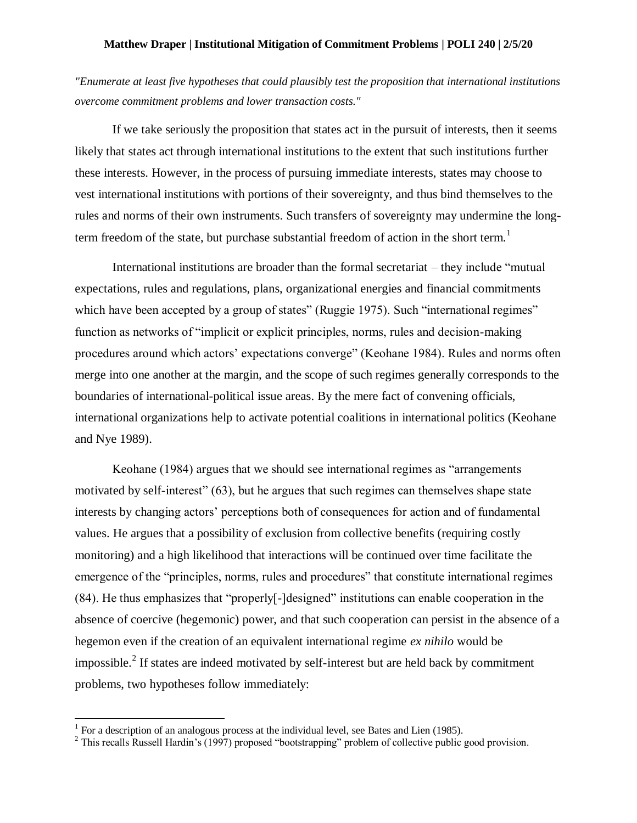## **Matthew Draper | Institutional Mitigation of Commitment Problems | POLI 240 | 2/5/20**

*"Enumerate at least five hypotheses that could plausibly test the proposition that international institutions overcome commitment problems and lower transaction costs."*

If we take seriously the proposition that states act in the pursuit of interests, then it seems likely that states act through international institutions to the extent that such institutions further these interests. However, in the process of pursuing immediate interests, states may choose to vest international institutions with portions of their sovereignty, and thus bind themselves to the rules and norms of their own instruments. Such transfers of sovereignty may undermine the longterm freedom of the state, but purchase substantial freedom of action in the short term.<sup>1</sup>

International institutions are broader than the formal secretariat – they include "mutual expectations, rules and regulations, plans, organizational energies and financial commitments which have been accepted by a group of states" (Ruggie 1975). Such "international regimes" function as networks of "implicit or explicit principles, norms, rules and decision-making procedures around which actors' expectations converge" (Keohane 1984). Rules and norms often merge into one another at the margin, and the scope of such regimes generally corresponds to the boundaries of international-political issue areas. By the mere fact of convening officials, international organizations help to activate potential coalitions in international politics (Keohane and Nye 1989).

Keohane (1984) argues that we should see international regimes as "arrangements motivated by self-interest" (63), but he argues that such regimes can themselves shape state interests by changing actors' perceptions both of consequences for action and of fundamental values. He argues that a possibility of exclusion from collective benefits (requiring costly monitoring) and a high likelihood that interactions will be continued over time facilitate the emergence of the "principles, norms, rules and procedures" that constitute international regimes (84). He thus emphasizes that "properly[-]designed" institutions can enable cooperation in the absence of coercive (hegemonic) power, and that such cooperation can persist in the absence of a hegemon even if the creation of an equivalent international regime *ex nihilo* would be impossible.<sup>2</sup> If states are indeed motivated by self-interest but are held back by commitment problems, two hypotheses follow immediately:

 1 For a description of an analogous process at the individual level, see Bates and Lien (1985).

<sup>&</sup>lt;sup>2</sup> This recalls Russell Hardin's (1997) proposed "bootstrapping" problem of collective public good provision.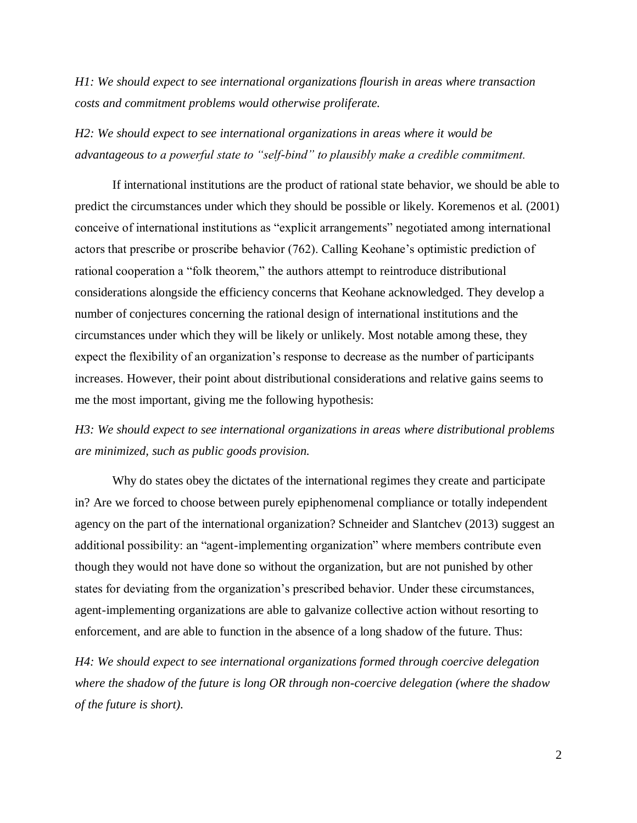*H1: We should expect to see international organizations flourish in areas where transaction costs and commitment problems would otherwise proliferate.*

*H2: We should expect to see international organizations in areas where it would be advantageous to a powerful state to "self-bind" to plausibly make a credible commitment.*

If international institutions are the product of rational state behavior, we should be able to predict the circumstances under which they should be possible or likely. Koremenos et al. (2001) conceive of international institutions as "explicit arrangements" negotiated among international actors that prescribe or proscribe behavior (762). Calling Keohane's optimistic prediction of rational cooperation a "folk theorem," the authors attempt to reintroduce distributional considerations alongside the efficiency concerns that Keohane acknowledged. They develop a number of conjectures concerning the rational design of international institutions and the circumstances under which they will be likely or unlikely. Most notable among these, they expect the flexibility of an organization's response to decrease as the number of participants increases. However, their point about distributional considerations and relative gains seems to me the most important, giving me the following hypothesis:

*H3: We should expect to see international organizations in areas where distributional problems are minimized, such as public goods provision.*

Why do states obey the dictates of the international regimes they create and participate in? Are we forced to choose between purely epiphenomenal compliance or totally independent agency on the part of the international organization? Schneider and Slantchev (2013) suggest an additional possibility: an "agent-implementing organization" where members contribute even though they would not have done so without the organization, but are not punished by other states for deviating from the organization's prescribed behavior. Under these circumstances, agent-implementing organizations are able to galvanize collective action without resorting to enforcement, and are able to function in the absence of a long shadow of the future. Thus:

*H4: We should expect to see international organizations formed through coercive delegation where the shadow of the future is long OR through non-coercive delegation (where the shadow of the future is short).*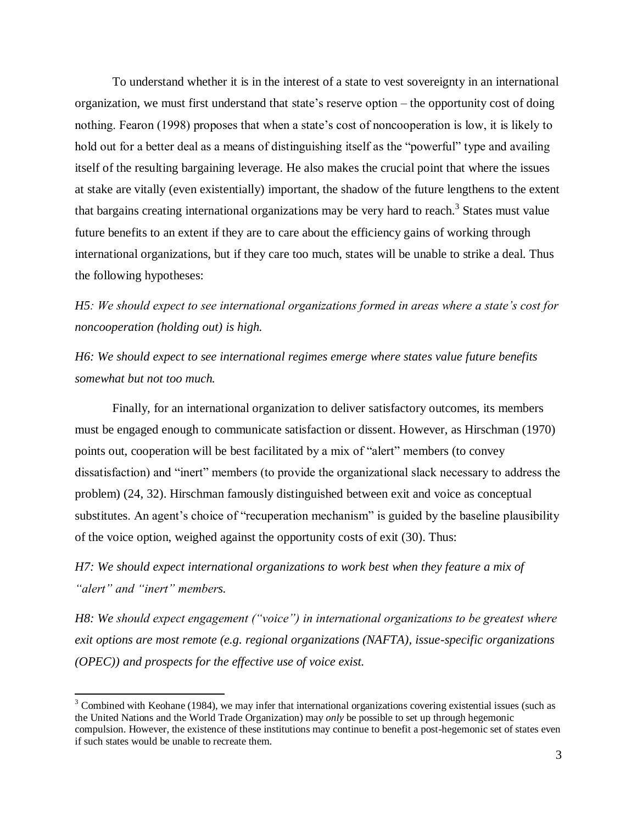To understand whether it is in the interest of a state to vest sovereignty in an international organization, we must first understand that state's reserve option – the opportunity cost of doing nothing. Fearon (1998) proposes that when a state's cost of noncooperation is low, it is likely to hold out for a better deal as a means of distinguishing itself as the "powerful" type and availing itself of the resulting bargaining leverage. He also makes the crucial point that where the issues at stake are vitally (even existentially) important, the shadow of the future lengthens to the extent that bargains creating international organizations may be very hard to reach.<sup>3</sup> States must value future benefits to an extent if they are to care about the efficiency gains of working through international organizations, but if they care too much, states will be unable to strike a deal. Thus the following hypotheses:

*H5: We should expect to see international organizations formed in areas where a state's cost for noncooperation (holding out) is high.*

*H6: We should expect to see international regimes emerge where states value future benefits somewhat but not too much.*

Finally, for an international organization to deliver satisfactory outcomes, its members must be engaged enough to communicate satisfaction or dissent. However, as Hirschman (1970) points out, cooperation will be best facilitated by a mix of "alert" members (to convey dissatisfaction) and "inert" members (to provide the organizational slack necessary to address the problem) (24, 32). Hirschman famously distinguished between exit and voice as conceptual substitutes. An agent's choice of "recuperation mechanism" is guided by the baseline plausibility of the voice option, weighed against the opportunity costs of exit (30). Thus:

*H7: We should expect international organizations to work best when they feature a mix of "alert" and "inert" members.*

 $\overline{a}$ 

*H8: We should expect engagement ("voice") in international organizations to be greatest where exit options are most remote (e.g. regional organizations (NAFTA), issue-specific organizations (OPEC)) and prospects for the effective use of voice exist.*

 $3$  Combined with Keohane (1984), we may infer that international organizations covering existential issues (such as the United Nations and the World Trade Organization) may *only* be possible to set up through hegemonic compulsion. However, the existence of these institutions may continue to benefit a post-hegemonic set of states even if such states would be unable to recreate them.